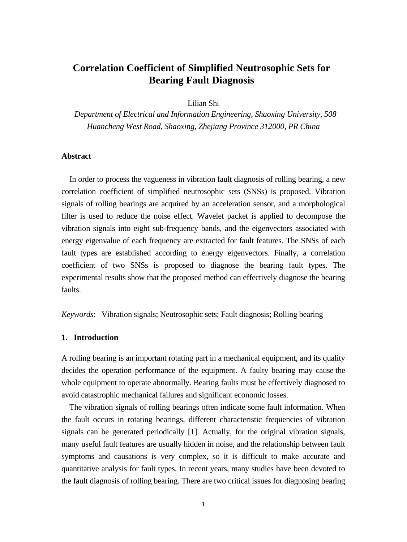# **Correlation Coefficient of Simplified Neutrosophic Sets for Bearing Fault Diagnosis**

Lilian Shi

*Department of Electrical and Information Engineering, Shaoxing University, 508 Huancheng West Road, Shaoxing, Zhejiang Province 312000, PR China* 

# **Abstract**

In order to process the vagueness in vibration fault diagnosis of rolling bearing, a new correlation coefficient of simplified neutrosophic sets (SNSs) is proposed. Vibration signals of rolling bearings are acquired by an acceleration sensor, and a morphological filter is used to reduce the noise effect. Wavelet packet is applied to decompose the vibration signals into eight sub-frequency bands, and the eigenvectors associated with energy eigenvalue of each frequency are extracted for fault features. The SNSs of each fault types are established according to energy eigenvectors. Finally, a correlation coefficient of two SNSs is proposed to diagnose the bearing fault types. The experimental results show that the proposed method can effectively diagnose the bearing faults.

*Keywords*: Vibration signals; Neutrosophic sets; Fault diagnosis; Rolling bearing

## **1. Introduction**

A rolling bearing is an important rotating part in a mechanical equipment, and its quality decides the operation performance of the equipment. A faulty bearing may cause the whole equipment to operate abnormally. Bearing faults must be effectively diagnosed to avoid catastrophic mechanical failures and significant economic losses.

The vibration signals of rolling bearings often indicate some fault information. When the fault occurs in rotating bearings, different characteristic frequencies of vibration signals can be generated periodically [1]. Actually, for the original vibration signals, many useful fault features are usually hidden in noise, and the relationship between fault symptoms and causations is very complex, so it is difficult to make accurate and quantitative analysis for fault types. In recent years, many studies have been devoted to the fault diagnosis of rolling bearing. There are two critical issues for diagnosing bearing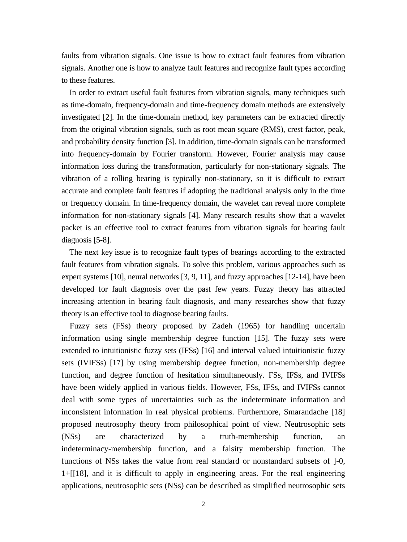faults from vibration signals. One issue is how to extract fault features from vibration signals. Another one is how to analyze fault features and recognize fault types according to these features.

In order to extract useful fault features from vibration signals, many techniques such as time-domain, frequency-domain and time-frequency domain methods are extensively investigated [2]. In the time-domain method, key parameters can be extracted directly from the original vibration signals, such as root mean square (RMS), crest factor, peak, and probability density function [3]. In addition, time-domain signals can be transformed into frequency-domain by Fourier transform. However, Fourier analysis may cause information loss during the transformation, particularly for non-stationary signals. The vibration of a rolling bearing is typically non-stationary, so it is difficult to extract accurate and complete fault features if adopting the traditional analysis only in the time or frequency domain. In time-frequency domain, the wavelet can reveal more complete information for non-stationary signals [4]. Many research results show that a wavelet packet is an effective tool to extract features from vibration signals for bearing fault diagnosis [5-8].

The next key issue is to recognize fault types of bearings according to the extracted fault features from vibration signals. To solve this problem, various approaches such as expert systems [10], neural networks [3, 9, 11], and fuzzy approaches [12-14], have been developed for fault diagnosis over the past few years. Fuzzy theory has attracted increasing attention in bearing fault diagnosis, and many researches show that fuzzy theory is an effective tool to diagnose bearing faults.

Fuzzy sets (FSs) theory proposed by Zadeh (1965) for handling uncertain information using single membership degree function [15]. The fuzzy sets were extended to intuitionistic fuzzy sets (IFSs) [16] and interval valued intuitionistic fuzzy sets (IVIFSs) [17] by using membership degree function, non-membership degree function, and degree function of hesitation simultaneously. FSs, IFSs, and IVIFSs have been widely applied in various fields. However, FSs, IFSs, and IVIFSs cannot deal with some types of uncertainties such as the indeterminate information and inconsistent information in real physical problems. Furthermore, Smarandache [18] proposed neutrosophy theory from philosophical point of view. Neutrosophic sets (NSs) are characterized by a truth-membership function, an indeterminacy-membership function, and a falsity membership function. The functions of NSs takes the value from real standard or nonstandard subsets of ]-0, 1+[[18], and it is difficult to apply in engineering areas. For the real engineering applications, neutrosophic sets (NSs) can be described as simplified neutrosophic sets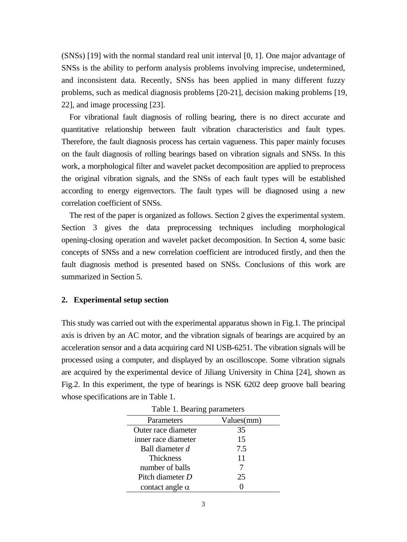(SNSs) [19] with the normal standard real unit interval [0, 1]. One major advantage of SNSs is the ability to perform analysis problems involving imprecise, undetermined, and inconsistent data. Recently, SNSs has been applied in many different fuzzy problems, such as medical diagnosis problems [20-21], decision making problems [19, 22], and image processing [23].

For vibrational fault diagnosis of rolling bearing, there is no direct accurate and quantitative relationship between fault vibration characteristics and fault types. Therefore, the fault diagnosis process has certain vagueness. This paper mainly focuses on the fault diagnosis of rolling bearings based on vibration signals and SNSs. In this work, a morphological filter and wavelet packet decomposition are applied to preprocess the original vibration signals, and the SNSs of each fault types will be established according to energy eigenvectors. The fault types will be diagnosed using a new correlation coefficient of SNSs.

The rest of the paper is organized as follows. Section 2 gives the experimental system. Section 3 gives the data preprocessing techniques including morphological opening-closing operation and wavelet packet decomposition. In Section 4, some basic concepts of SNSs and a new correlation coefficient are introduced firstly, and then the fault diagnosis method is presented based on SNSs. Conclusions of this work are summarized in Section [5.](http://www.sciencedirect.com.dbgw.lis.curtin.edu.au/science/article/pii/S1568494612000555#sec0100)

#### **2. Experimental setup section**

This study was carried out with the experimental apparatus shown in Fig.1. The principal axis is driven by an AC motor, and the vibration signals of bearings are acquired by an acceleration sensor and a data acquiring card NI USB-6251. The vibration signals will be processed using a computer, and displayed by an oscilloscope. Some vibration signals are acquired by the experimental device of Jiliang University in China [24], shown as Fig.2. In this experiment, the type of bearings is NSK 6202 deep groove ball bearing whose specifications are in Table 1.

| Table 1. Bearing parameters |            |  |  |  |  |
|-----------------------------|------------|--|--|--|--|
| Parameters                  | Values(mm) |  |  |  |  |
| Outer race diameter         | 35         |  |  |  |  |
| inner race diameter         | 15         |  |  |  |  |
| Ball diameter d             | 7.5        |  |  |  |  |
| <b>Thickness</b>            | 11         |  |  |  |  |
| number of balls             |            |  |  |  |  |
| Pitch diameter D            | 25         |  |  |  |  |
| contact angle $\alpha$      |            |  |  |  |  |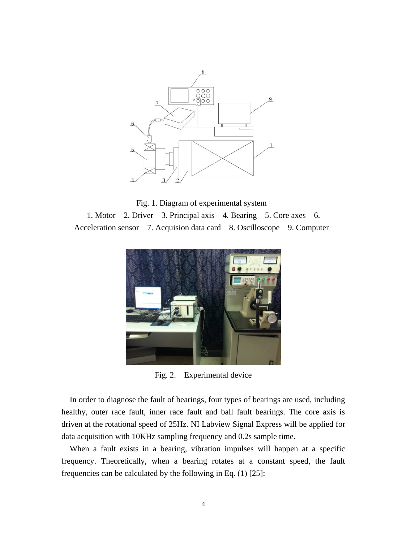



1. Motor 2. Driver 3. Principal axis 4. Bearing 5. Core axes 6. Acceleration sensor 7. Acquision data card 8. Oscilloscope 9. Computer



Fig. 2. Experimental device

In order to diagnose the fault of bearings, four types of bearings are used, including healthy, outer race fault, inner race fault and ball fault bearings. The core axis is driven at the rotational speed of 25Hz. NI Labview Signal Express will be applied for data acquisition with 10KHz sampling frequency and 0.2s sample time.

When a fault exists in a bearing, vibration impulses will happen at a specific frequency. Theoretically, when a bearing rotates at a constant speed, the fault frequencies can be calculated by the following in Eq. (1) [25]: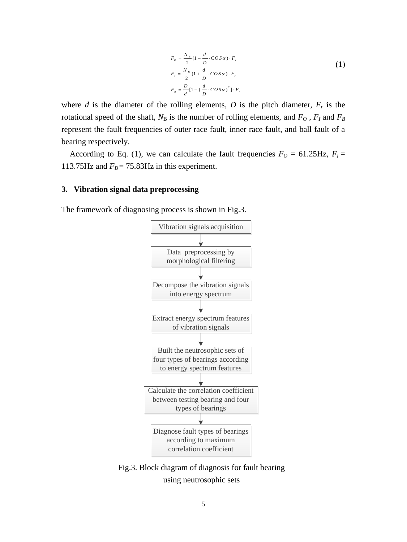$$
F_o = \frac{N_B}{2} (1 - \frac{d}{D} \cdot \cos \alpha) \cdot F_r
$$
  
\n
$$
F_I = \frac{N_B}{2} (1 + \frac{d}{D} \cdot \cos \alpha) \cdot F_r
$$
  
\n
$$
F_B = \frac{D}{d} [1 - (\frac{d}{D} \cdot \cos \alpha)^2] \cdot F_r
$$
 (1)

where *d* is the diameter of the rolling elements, *D* is the pitch diameter,  $F_r$  is the rotational speed of the shaft,  $N_B$  is the number of rolling elements, and  $F_O$ ,  $F_I$  and  $F_B$ represent the fault frequencies of outer race fault, inner race fault, and ball fault of a bearing respectively.

According to Eq. (1), we can calculate the fault frequencies  $F<sub>O</sub> = 61.25 Hz$ ,  $F<sub>I</sub> =$ 113.75Hz and  $F_B = 75.83$ Hz in this experiment.

# **3. Vibration signal data preprocessing**

The framework of diagnosing process is shown in Fig.3.



Fig.3. Block diagram of diagnosis for fault bearing using neutrosophic sets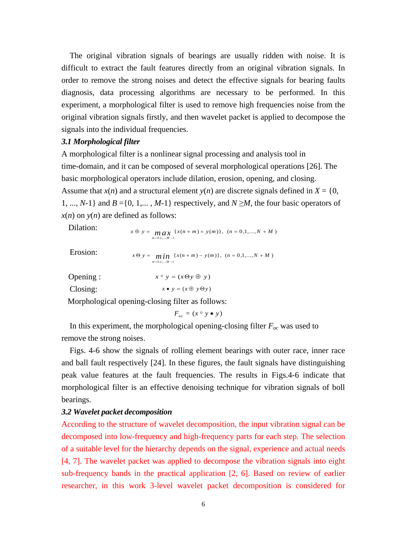The original vibration signals of bearings are usually ridden with noise. It is difficult to extract the fault features directly from an original vibration signals. In order to remove the strong noises and detect the effective signals for bearing faults diagnosis, data processing algorithms are necessary to be performed. In this experiment, a morphological filter is used to remove high frequencies noise from the original vibration signals firstly, and then wavelet packet is applied to decompose the signals into the individual frequencies.

# *3.1 Morphological filter*

A morphological filter is a nonlinear signal processing and analysis tool in time-domain, and it can be composed of several morphological operations [26]. The basic morphological operators include dilation, erosion, opening, and closing. Assume that  $x(n)$  and a structural element  $y(n)$  are discrete signals defined in  $X = \{0,$ 1, ..., *N*-1} and *B* ={0, 1,..., *M*-1} respectively, and *N* ≥*M*, the four basic operators of  $x(n)$  on  $y(n)$  are defined as follows: **ed as follows:**<br>  $x \oplus y = \max_{m=0,1,\dots,M-1} \{x(n+m) + y(m)\}, (n = 0,1,\dots,N+M)$ 

Dilation:

Erosion:

 $x \Theta y = \min_{m=0,1,...,M-1} \{x(n+m) - y(m)\}, \quad (n = 0,1,...,N+M)$ <br>  $x = \min_{m=0,1,...,M-1} \{x(n+m) - y(m)\}, \quad (n = 0,1,...,N+M)$ 

Opening : Closing:  $x \circ y = (x \Theta y \oplus y)$ <br> $x \bullet y = (x \oplus y \Theta y)$ 

Morphological opening-closing filter as follows:

 $F_{\text{oc}} = (x \circ y \bullet y)$ 

In this experiment, the morphological opening-closing filter  $F_{oc}$  was used to remove the strong noises.

Figs. 4-6 show the signals of rolling element bearings with outer race, inner race and ball fault respectively [24]. In these figures, the fault signals have distinguishing peak value features at the fault frequencies. The results in Figs.4-6 indicate that morphological filter is an effective denoising technique for vibration signals of boll bearings.

# *3.2 Wavelet packet decomposition*

According to the structure of wavelet decomposition, the input vibration signal can be decomposed into low-frequency and high-frequency parts for each step. The selection of a suitable level for the hierarchy depends on the signal, experience and actual needs [4, 7]. The wavelet packet was applied to decompose the vibration signals into eight sub-frequency bands in the practical application [2, 6]. Based on review of earlier researcher, in this work 3-level wavelet packet decomposition is considered for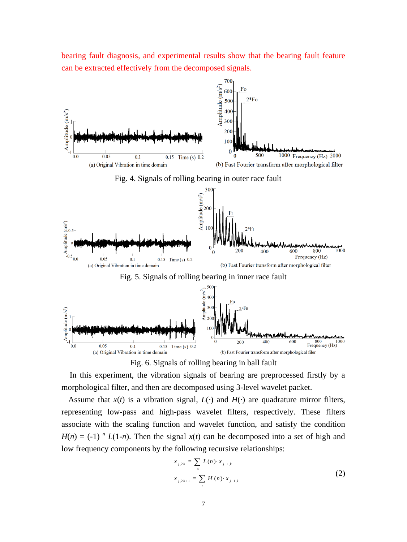bearing fault diagnosis, and experimental results show that the bearing fault feature can be extracted effectively from the decomposed signals.





In this experiment, the vibration signals of bearing are preprocessed firstly by a morphological filter, and then are decomposed using 3-level wavelet packet.

Assume that  $x(t)$  is a vibration signal,  $L(\cdot)$  and  $H(\cdot)$  are quadrature mirror filters, representing low-pass and high-pass wavelet filters, respectively. These filters associate with the scaling function and wavelet function, and satisfy the condition  $H(n) = (-1)^n L(1-n)$ . Then the signal  $x(t)$  can be decomposed into a set of high and low frequency components by the following recursive relationships:

$$
x_{j,2k} = \sum_{n} L(n) \cdot x_{j-1,k}
$$
  

$$
x_{j,2k+1} = \sum_{n} H(n) \cdot x_{j-1,k}
$$
 (2)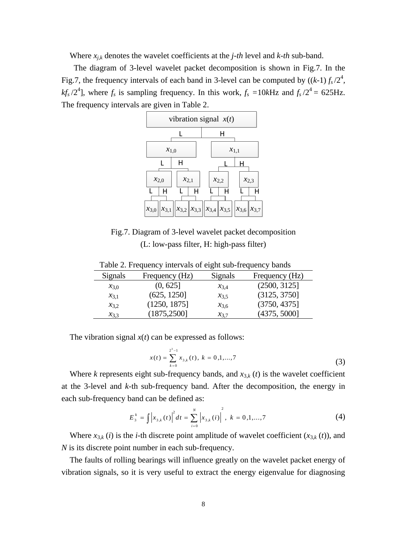Where *xj*,*<sup>k</sup>* denotes the wavelet coefficients at the *j-th* level and *k-th* sub-band.

The diagram of 3-level wavelet packet decomposition is shown in Fig.7. In the Fig.7, the frequency intervals of each band in 3-level can be computed by  $((k-1) f_s / 2^4)$ ,  $kf_s/2^4$ , where  $f_s$  is sampling frequency. In this work,  $f_s = 10k$ Hz and  $f_s/2^4 = 625$ Hz. The frequency intervals are given in Table 2.



 $\begin{array}{cc} 1 & 1 & 1 \end{array}$ Fig.7. Diagram of 3-level wavelet packet decomposition (L: low-pass filter, H: high-pass filter)

| Signals   | Frequency (Hz) | Signals   | Frequency (Hz) |
|-----------|----------------|-----------|----------------|
| $x_{3,0}$ | (0, 625]       | $x_{3,4}$ | (2500, 3125)   |
| $x_{3,1}$ | (625, 1250]    | $x_{3.5}$ | (3125, 3750)   |
| $x_{3,2}$ | (1250, 1875)   | $x_{3,6}$ | (3750, 4375]   |
| $x_{3,3}$ | (1875, 2500)   | $x_{3.7}$ | (4375, 5000]   |

Table 2. Frequency intervals of eight sub-frequency bands

The vibration signal  $x(t)$  can be expressed as follows:

$$
x(t) = \sum_{k=0}^{2^3 - 1} x_{3,k}(t), \ k = 0, 1, ..., 7
$$
 (3)

Where *k* represents eight sub-frequency bands, and  $x_{3,k}$  (*t*) is the wavelet coefficient at the 3-level and *k*-th sub-frequency band. After the decomposition, the energy in each sub-frequency band can be defined as:

$$
E_3^k = \int \left| x_{3,k}(t) \right|^2 dt = \sum_{i=0}^N \left| x_{3,k}(i) \right|^2, \ k = 0,1,...,7
$$
 (4)

Where  $x_{3,k}$  (*i*) is the *i*-th discrete point amplitude of wavelet coefficient  $(x_{3,k}(t))$ , and *N* is its discrete point number in each sub-frequency.

The faults of rolling bearings will influence greatly on the wavelet packet energy of vibration signals, so it is very useful to extract the energy eigenvalue for diagnosing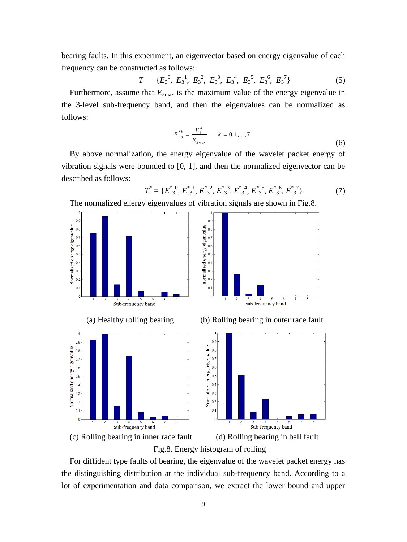bearing faults. In this experiment, an eigenvector based on energy eigenvalue of each frequency can be constructed as follows:

$$
T = \{E_3^0, E_3^1, E_3^2, E_3^3, E_3^4, E_3^5, E_3^6, E_3^7\}
$$
 (5)

Furthermore, assume that  $E_{3\text{max}}$  is the maximum value of the energy eigenvalue in the 3-level sub-frequency band, and then the eigenvalues can be normalized as follows:

$$
E_{3}^{*k} = \frac{E_{3}^{k}}{E_{3max}}, \quad k = 0, 1, ..., 7
$$
 (6)

By above normalization, the energy eigenvalue of the wavelet packet energy of vibration signals were bounded to [0, 1], and then the normalized eigenvector can be described as follows:

$$
T^* = \{E_{3}^{*0}, E_{3}^{*1}, E_{3}^{*2}, E_{3}^{*2}, E_{3}^{*4}, E_{3}^{*5}, E_{3}^{*6}, E_{3}^{*7}\}
$$
(7)

The normalized energy eigenvalues of vibration signals are shown in Fig.8.



Fig.8. Energy histogram of rolling

For diffident type faults of bearing, the eigenvalue of the wavelet packet energy has the distinguishing distribution at the individual sub-frequency band. According to a lot of experimentation and data comparison, we extract the lower bound and upper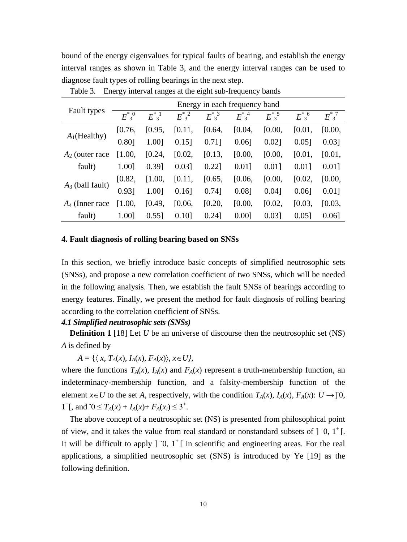bound of the energy eigenvalues for typical faults of bearing, and establish the energy interval ranges as shown in Table 3, and the energy interval ranges can be used to diagnose fault types of rolling bearings in the next step.

|                    | Energy in each frequency band |                    |                    |                    |                    |              |              |                         |
|--------------------|-------------------------------|--------------------|--------------------|--------------------|--------------------|--------------|--------------|-------------------------|
| Fault types        | $E^{*0}_{3}$                  | $E^*$ <sup>1</sup> | $E^*$ <sup>2</sup> | $E^*$ <sup>3</sup> | $E^*$ <sup>4</sup> | $E_{3}^{*5}$ | $E^{*}3^{6}$ | $E^{\ast}$ <sup>7</sup> |
| $A_1$ (Healthy)    | [0.76,                        | [0.95,             | [0.11,             | [0.64,             | [0.04,             | [0.00,       | [0.01,       | [0.00,                  |
|                    | 0.80]                         | 1.001              | $0.15$ ]           | $0.71$ ]           | $0.06$ ]           | $0.02$ ]     | $0.05$ ]     | $0.03$ ]                |
| $A2$ (outer race   | [1.00,                        | [0.24,             | [0.02,             | [0.13,             | [0.00,             | [0.00,       | [0.01,       | [0.01,                  |
| fault)             | 1.001                         | 0.39]              | $0.03$ ]           | 0.221              | $0.01$ ]           | $0.01$ ]     | 0.011        | 0.011                   |
| $A_3$ (ball fault) | [0.82,                        | [1.00,             | [0.11,             | [0.65,             | [0.06,             | [0.00,       | [0.02,       | [0.00,                  |
|                    | 0.931                         | 1.001              | $0.16$ ]           | $0.74$ ]           | 0.08]              | $0.04$ ]     | $0.06$ ]     | 0.011                   |
| $A_4$ (Inner race  | [1.00,                        | [0.49,             | [0.06,             | [0.20,             | [0.00,             | [0.02,       | [0.03,       | [0.03,                  |
| fault)             | 1.001                         | $0.55$ ]           | $0.10$ ]           | $0.24$ ]           | 0.001              | $0.03$ ]     | 0.051        | $0.06$ ]                |

Table 3. Energy interval ranges at the eight sub-frequency bands

# **4. Fault diagnosis of rolling bearing based on SNSs**

In this section, we briefly introduce basic concepts of simplified neutrosophic sets (SNSs), and propose a new correlation coefficient of two SNSs, which will be needed in the following analysis. Then, we establish the fault SNSs of bearings according to energy features. Finally, we present the method for fault diagnosis of rolling bearing according to the correlation coefficient of SNSs.

# *4.1 Simplified neutrosophic sets (SNSs)*

**Definition 1** [18] Let *U* be an universe of discourse then the neutrosophic set (NS) *A* is defined by

 $A = \{ \langle x, T_A(x), I_A(x), F_A(x) \rangle, x \in U \},$ 

where the functions  $T_A(x)$ ,  $I_A(x)$  and  $F_A(x)$  represent a truth-membership function, an indeterminacy-membership function, and a falsity-membership function of the element *x*∈*U* to the set *A*, respectively, with the condition  $T_A(x)$ ,  $I_A(x)$ ,  $F_A(x)$ :  $U \rightarrow ]0$ , 1<sup>+</sup>[, and  $0 \le T_A(x) + I_A(x) + F_A(x_i) \le 3^+$ .

The above concept of a neutrosophic set (NS) is presented from philosophical point of view, and it takes the value from real standard or nonstandard subsets of  $\int$  0,  $1^+$  [. It will be difficult to apply  $]$  0,  $1^+$  [ in scientific and engineering areas. For the real applications, a simplified neutrosophic set (SNS) is introduced by Ye [19] as the following definition.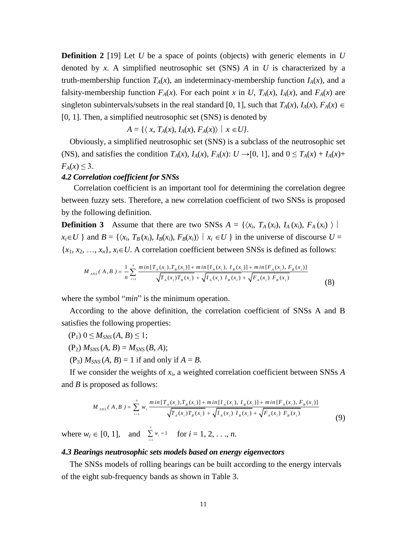**Definition 2** [19] Let *U* be a space of points (objects) with generic elements in *U* denoted by *x*. A simplified neutrosophic set (SNS) *A* in *U* is characterized by a truth-membership function  $T_A(x)$ , an indeterminacy-membership function  $I_A(x)$ , and a falsity-membership function  $F_A(x)$ . For each point *x* in *U*,  $T_A(x)$ ,  $I_A(x)$ , and  $F_A(x)$  are singleton subintervals/subsets in the real standard [0, 1], such that  $T_A(x)$ ,  $I_A(x)$ ,  $F_A(x) \in$ [0, 1]. Then, a simplified neutrosophic set (SNS) is denoted by

$$
A = \{ \langle x, T_A(x), I_A(x), F_A(x) \rangle \mid x \in U \}.
$$

Obviously, a simplified neutrosophic set (SNS) is a subclass of the neutrosophic set (NS), and satisfies the condition  $T_A(x)$ ,  $I_A(x)$ ,  $F_A(x)$ :  $U \rightarrow [0, 1]$ , and  $0 \le T_A(x) + I_A(x) + I_A(x)$  $F_A(x) \leq 3$ .

# *4.2 Correlation coefficient for SNSs*

Correlation coefficient is an important tool for determining the correlation degree between fuzzy sets. Therefore, a new correlation coefficient of two SNSs is proposed by the following definition.

**Definition 3** Assume that there are two SNSs  $A = \{ \langle x_i, T_A(x_i), I_A(x_i), F_A(x_i) \rangle \}$  $x_i \in U$  and  $B = \{ (x_i, T_B(x_i), I_B(x_i), F_B(x_i)) | x_i \in U \}$  in the universe of discourse  $U =$ 

$$
\{x_1, x_2, ..., x_n\}, x_i \in U. \text{ A correlation coefficient between SNSs is defined as follows:}
$$
\n
$$
M_{\text{SNS}}(A, B) = \frac{1}{n} \sum_{i=1}^n \frac{\min[T_A(x_i), T_B(x_i)] + \min[I_A(x_i), I_B(x_i)] + \min[F_A(x_i), F_B(x_i)]}{\sqrt{T_A(x_i)T_B(x_i)} + \sqrt{I_A(x_i)T_B(x_i)} + \sqrt{F_A(x_i)F_B(x_i)}} \tag{8}
$$

where the symbol "*min*" is the minimum operation.

According to the above definition, the correlation coefficient of SNSs A and B satisfies the following properties:

- $(P_1)$   $0 \leq M_{SNS}(A, B) \leq 1$ ;
- $(P_2)$   $M_{SNS}(A, B) = M_{SNS}(B, A);$
- $(P_3)$   $M_{SNS}(A, B) = 1$  if and only if  $A = B$ .

If we consider the weights of *xi*, a weighted correlation coefficient between SNSs *A* +  $min[I_A(x_i), I_B(x_i)]$  +  $min[F_A(x_i)]$ 

and *B* is proposed as follows:  
\n
$$
M_{\text{SNS}}(A, B) = \sum_{i=1}^{n} w_i \frac{\min[T_A(x_i), T_B(x_i)] + \min[I_A(x_i), I_B(x_i)] + \min[F_A(x_i), F_B(x_i)]}{\sqrt{T_A(x_i)T_B(x_i)} + \sqrt{I_A(x_i)I_B(x_i)} + \sqrt{F_A(x_i)F_B(x_i)}}
$$
\n(9)

where  $w_i \in [0, 1]$ , and  $\sum_{i=1}^{n} w_i = 1$  for  $i = 1, 2, ..., n$ .  $\sum_{i=1}^{n} w_i = 1$ ∠ ″*i*<br>*i*=1 *w*  $\sum_{i=1} w_i =$ 

#### *4.3 Bearings neutrosophic sets models based on energy eigenvectors*

The SNSs models of rolling bearings can be built according to the energy intervals of the eight sub-frequency bands as shown in Table 3.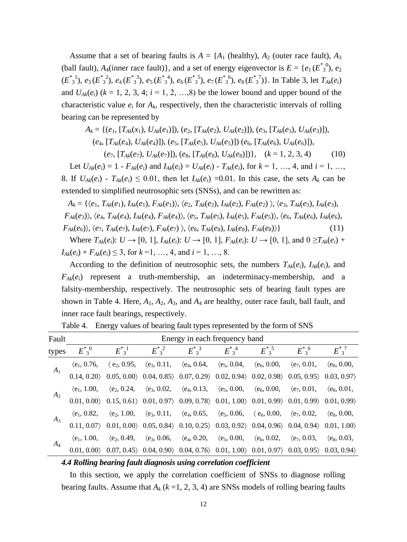Assume that a set of bearing faults is  $A = \{A_1 \text{ (health)}\}$ ,  $A_2 \text{ (outer race fault)}$ ,  $A_3 \text{ (other race fault)}$ (ball fault),  $A_4$ (inner race fault)}, and a set of energy eigenvector is  $E = \{e_1(E^*_{3}^0), e_2\}$  $(E^*_{3}^1), e_3(E^*_{3}^2), e_4(E^*_{3}^3), e_5(E^*_{3}^4), e_6(E^*_{3}^5), e_7(E^*_{3}^6), e_8(E^*_{3}^7)$ . In Table 3, let  $T_{Ak}(e_i)$ and  $U_{A_k}(e_i)$  ( $k = 1, 2, 3, 4$ ;  $i = 1, 2, ..., 8$ ) be the lower bound and upper bound of the characteristic value  $e_i$  for  $A_k$ , respectively, then the characteristic intervals of rolling bearing can be represented by

$$
A_k = \{ (e_1, [T_{Ak}(x_1), U_{Ak}(e_1)]), (e_2, [T_{Ak}(e_2), U_{Ak}(e_2)]), (e_3, [T_{Ak}(e_3), U_{Ak}(e_3)]), (e_4, [T_{Ak}(e_4), U_{Ak}(e_4)]), (e_5, [T_{Ak}(e_5), U_{Ak}(e_5)]) (e_6, [T_{Ak}(e_6), U_{Ak}(e_6)]), (e_7, [T_{Ak}(e_7), U_{Ak}(e_7)]), (e_8, [T_{Ak}(e_8), U_{Ak}(e_8)] ) \}, (k = 1, 2, 3, 4)
$$
 (10)

Let  $U_{Ak}(e_i) = 1 - F_{Ak}(e_i)$  and  $I_{Ak}(e_i) = U_{Ak}(e_i) - T_{Ak}(e_i)$ , for  $k = 1, ..., 4$ , and  $i = 1, ...,$ 8. If  $U_{Ak}(e_i) - T_{Ak}(e_i) \leq 0.01$ , then let  $I_{Ak}(e_i) = 0.01$ . In this case, the sets  $A_k$  can be extended to simplified neutrosophic sets (SNSs), and can be rewritten as:

$$
A_k = \{ \langle e_1, T_{Ak}(e_1), I_{Ak}(e_1), F_{Ak}(e_1) \rangle, \langle e_2, T_{Ak}(e_2), I_{Ak}(e_2), F_{Ak}(e_2) \rangle, \langle e_3, T_{Ak}(e_3), I_{Ak}(e_3), F_{Ak}(e_3) \rangle, \langle e_4, T_{Ak}(e_4), I_{Ak}(e_4), F_{Ak}(e_4) \rangle, \langle e_5, T_{Ak}(e_5), I_{Ak}(e_5), F_{Ak}(e_5) \rangle, \langle e_6, T_{Ak}(e_6), I_{Ak}(e_6), F_{Ak}(e_7), I_{Ak}(e_7), F_{Ak}(e_7) \rangle, \langle e_8, T_{Ak}(e_8), I_{Ak}(e_8), F_{Ak}(e_8) \rangle \}
$$
\n(11)

Where  $T_{Ak}(e_i): U \to [0, 1]$ ,  $I_{Ak}(e_i): U \to [0, 1]$ ,  $F_{Ak}(e_i): U \to [0, 1]$ , and  $0 \ge T_{Ak}(e_i) +$  $I_{Ak}(e_i) + F_{Ak}(e_i) \leq 3$ , for  $k = 1, ..., 4$ , and  $i = 1, ..., 8$ .

According to the definition of neutrosophic sets, the numbers  $T_{Ak}(e_i)$ ,  $I_{Ak}(e_i)$ , and  $F_{Ak}(e_i)$  represent a truth-membership, an indeterminacy-membership, and a falsity-membership, respectively. The neutrosophic sets of bearing fault types are shown in Table 4. Here,  $A_1$ ,  $A_2$ ,  $A_3$ , and  $A_4$  are healthy, outer race fault, ball fault, and inner race fault bearings, respectively.

| Fault | Energy in each frequency band |  |                                                                                                                                                                                                                                                                                                                                 |  |  |  |                   |                    |  |  |
|-------|-------------------------------|--|---------------------------------------------------------------------------------------------------------------------------------------------------------------------------------------------------------------------------------------------------------------------------------------------------------------------------------|--|--|--|-------------------|--------------------|--|--|
| types | $E^{\ast,0}$                  |  | $E_{3}^{*1}$ $E_{3}^{*2}$ $E_{3}^{*3}$ $E_{3}^{*4}$ $E_{3}^{*5}$                                                                                                                                                                                                                                                                |  |  |  | $E^*{}_{3}{}^{6}$ | $E^*$ <sup>7</sup> |  |  |
| $A_1$ |                               |  | $\langle e_1, 0.76, \quad \langle e_2, 0.95, \quad \langle e_3, 0.11, \quad \langle e_4, 0.64, \quad \langle e_5, 0.04, \quad \langle e_6, 0.00, \quad \langle e_7, 0.01, \quad \langle e_8, 0.00, \quad 0.14, 0.20 \rangle$ (0.05, 0.00) (0.04, 0.85) (0.07, 0.29) (0.02, 0.94) (0.02, 0.98) (0.05, 0.95) (0.03, 0.97)         |  |  |  |                   |                    |  |  |
|       |                               |  |                                                                                                                                                                                                                                                                                                                                 |  |  |  |                   |                    |  |  |
|       |                               |  | $\langle e_1, 1.00, \quad \langle e_2, 0.24, \quad \langle e_3, 0.02, \quad \langle e_4, 0.13, \quad \langle e_5, 0.00, \quad \langle e_6, 0.00, \quad \langle e_7, 0.01, \quad \langle e_8, 0.01, 0.01, 0.00 \rangle) \rangle$<br>0.01, 0.00 0.15, 0.61 0.01, 0.97 0.09, 0.78 0.01, 1.00 0.01, 0.99 0.01, 0.99 0.01, 0.99 0.01 |  |  |  |                   |                    |  |  |
|       |                               |  |                                                                                                                                                                                                                                                                                                                                 |  |  |  |                   |                    |  |  |
|       |                               |  | $\langle e_1, 0.82, \quad \langle e_2, 1.00, \quad \langle e_3, 0.11, \quad \langle e_4, 0.65, \quad \langle e_5, 0.06, \quad \langle e_6, 0.00, \quad \langle e_7, 0.02, \quad \langle e_8, 0.00, \quad 0.11, 0.07 \rangle$ 0.01, 0.00) 0.05, 0.84 0.10, 0.25 0.03, 0.92 0.04, 0.96 0.04, 0.94 0.01, 1.00                      |  |  |  |                   |                    |  |  |
|       |                               |  |                                                                                                                                                                                                                                                                                                                                 |  |  |  |                   |                    |  |  |
|       |                               |  | $\langle e_1, 1.00, \quad \langle e_2, 0.49, \quad \langle e_3, 0.06, \quad \langle e_4, 0.20, \quad \langle e_5, 0.00, \quad \langle e_6, 0.02, \quad \langle e_7, 0.03, \quad \langle e_8, 0.03, \quad 0.01, 0.00 \rangle$ (0.01, 0.00) (0.07, 0.45) (0.04, 0.90) (0.04, 0.76) (0.01, 1.00) (0.01, 0.97) (0.03, 0.95) (0      |  |  |  |                   |                    |  |  |
|       |                               |  |                                                                                                                                                                                                                                                                                                                                 |  |  |  |                   |                    |  |  |

Table 4. Energy values of bearing fault types represented by the form of SNS

#### *4.4 Rolling bearing fault diagnosis using correlation coefficient*

In this section, we apply the correlation coefficient of SNSs to diagnose rolling bearing faults. Assume that  $A_k$  ( $k = 1, 2, 3, 4$ ) are SNSs models of rolling bearing faults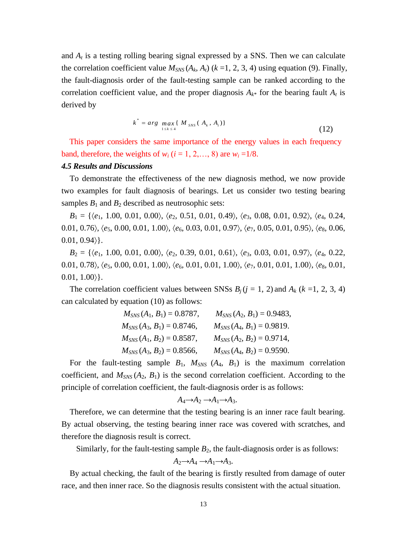and  $A_t$  is a testing rolling bearing signal expressed by a SNS. Then we can calculate the correlation coefficient value  $M_{SNS}(A_k, A_t)$  ( $k = 1, 2, 3, 4$ ) using equation (9). Finally, the fault-diagnosis order of the fault-testing sample can be ranked according to the correlation coefficient value, and the proper diagnosis  $A_{k*}$  for the bearing fault  $A_t$  is derived by

$$
k^* = arg \max_{1 \le k \le 4} \{ M_{\text{SNS}}(A_k, A_t) \}
$$
 (12)

This paper considers the same importance of the energy values in each frequency band, therefore, the weights of  $w_i$  ( $i = 1, 2, \ldots, 8$ ) are  $w_i = 1/8$ .

### *4.5 Results and Discussions*

To demonstrate the effectiveness of the new diagnosis method, we now provide two examples for fault diagnosis of bearings. Let us consider two testing bearing samples  $B_1$  and  $B_2$  described as neutrosophic sets:

*B*<sup>1</sup> = {*e*1, 1.00, 0.01, 0.00, *e*2, 0.51, 0.01, 0.49, *e*3, 0.08, 0.01, 0.92, *e*4, 0.24, 0.01, 0.76), *(e<sub>5</sub>*, 0.00, 0.01, 1.00), *(e<sub>6</sub>*, 0.03, 0.01, 0.97), *(e<sub>7</sub>*, 0.05, 0.01, 0.95), *(e<sub>8</sub>*, 0.06,  $0.01, 0.94$ .

*B*<sup>2</sup> = {*e*1, 1.00, 0.01, 0.00, *e*2, 0.39, 0.01, 0.61, *e*3, 0.03, 0.01, 0.97, *e*4, 0.22, 0.01, 0.78),  $\langle e_5, 0.00, 0.01, 1.00 \rangle$ ,  $\langle e_6, 0.01, 0.01, 1.00 \rangle$ ,  $\langle e_7, 0.01, 0.01, 1.00 \rangle$ ,  $\langle e_8, 0.01,$  $0.01, 1.00$ .

The correlation coefficient values between SNSs  $B_i$  ( $j = 1, 2$ ) and  $A_k$  ( $k = 1, 2, 3, 4$ ) can calculated by equation (10) as follows:

| $M_{SNS}(A_1, B_1) = 0.8787,$ | $M_{SNS}(A_2, B_1) = 0.9483,$ |
|-------------------------------|-------------------------------|
| $M_{SNS}(A_3, B_1) = 0.8746,$ | $M_{SNS}(A_4, B_1) = 0.9819.$ |
| $M_{SNS}(A_1, B_2) = 0.8587,$ | $M_{SNS}(A_2, B_2) = 0.9714,$ |
| $M_{SNS}(A_3, B_2) = 0.8566,$ | $M_{SNS}(A_4, B_2) = 0.9590.$ |

For the fault-testing sample  $B_1$ ,  $M_{SNS}$   $(A_4, B_1)$  is the maximum correlation coefficient, and  $M_{SNS}(A_2, B_1)$  is the second correlation coefficient. According to the principle of correlation coefficient, the fault-diagnosis order is as follows:

$$
A_4 \rightarrow A_2 \rightarrow A_1 \rightarrow A_3.
$$

Therefore, we can determine that the testing bearing is an inner race fault bearing. By actual observing, the testing bearing inner race was covered with scratches, and therefore the diagnosis result is correct.

Similarly, for the fault-testing sample  $B_2$ , the fault-diagnosis order is as follows:

$$
A_2 \rightarrow A_4 \rightarrow A_1 \rightarrow A_3.
$$

By actual checking, the fault of the bearing is firstly resulted from damage of outer race, and then inner race. So the diagnosis results consistent with the actual situation.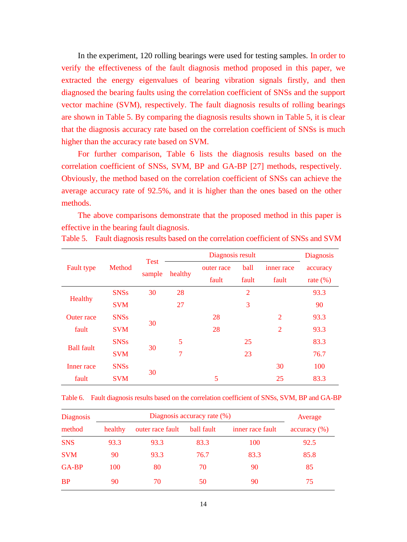In the experiment, 120 rolling bearings were used for testing samples. In order to verify the effectiveness of the fault diagnosis method proposed in this paper, we extracted the energy eigenvalues of bearing vibration signals firstly, and then diagnosed the bearing faults using the correlation coefficient of SNSs and the support vector machine (SVM), respectively. The fault diagnosis results of rolling bearings are shown in Table 5. By comparing the diagnosis results shown in Table 5, it is clear that the diagnosis accuracy rate based on the correlation coefficient of SNSs is much higher than the accuracy rate based on SVM.

For further comparison, Table 6 lists the diagnosis results based on the correlation coefficient of SNSs, SVM, BP and GA-BP [27] methods, respectively. Obviously, the method based on the correlation coefficient of SNSs can achieve the average accuracy rate of 92.5%, and it is higher than the ones based on the other methods.

The above comparisons demonstrate that the proposed method in this paper is effective in the bearing fault diagnosis.

|                   | Method      | <b>Test</b><br>sample | Diagnosis result |            |                |                | <b>Diagnosis</b> |
|-------------------|-------------|-----------------------|------------------|------------|----------------|----------------|------------------|
| <b>Fault type</b> |             |                       | healthy          | outer race | ball           | inner race     | accuracy         |
|                   |             |                       |                  | fault      | fault          | fault          | rate $(\% )$     |
| Healthy           | <b>SNSs</b> | 30                    | 28               |            | $\overline{2}$ |                | 93.3             |
|                   | <b>SVM</b>  |                       | 27               |            | 3              |                | 90               |
| <b>Outer</b> race | <b>SNSs</b> |                       |                  | 28         |                | $\overline{2}$ | 93.3             |
| fault             | <b>SVM</b>  | 30                    |                  | 28         |                | $\overline{2}$ | 93.3             |
| <b>Ball fault</b> | <b>SNSs</b> | 30                    | 5                |            | 25             |                | 83.3             |
|                   | <b>SVM</b>  |                       | 7                |            | 23             |                | 76.7             |
| Inner race        | <b>SNSs</b> |                       |                  |            |                | 30             | 100              |
| fault             | <b>SVM</b>  | 30                    |                  | 5          |                | 25             | 83.3             |

Table 5. Fault diagnosis results based on the correlation coefficient of SNSs and SVM

Table 6. Fault diagnosis results based on the correlation coefficient of SNSs, SVM, BP and GA-BP

| <b>Diagnosis</b> |         | Average          |            |                  |              |
|------------------|---------|------------------|------------|------------------|--------------|
| method           | healthy | outer race fault | ball fault | inner race fault | accuracy (%) |
| <b>SNS</b>       | 93.3    | 93.3             | 83.3       | 100              | 92.5         |
| <b>SVM</b>       | 90      | 93.3             | 76.7       | 83.3             | 85.8         |
| GA-BP            | 100     | 80               | 70         | 90               | 85           |
| <b>BP</b>        | 90      | 70               | 50         | 90               | 75           |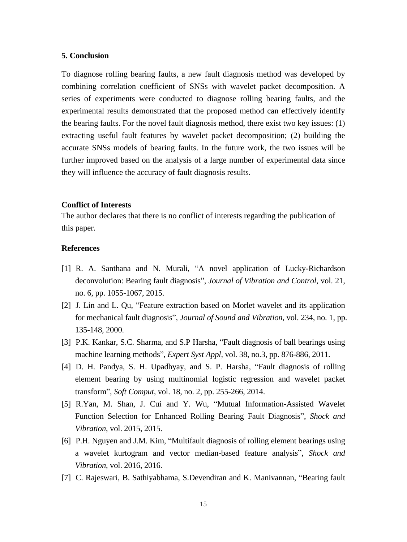# **5. Conclusion**

To diagnose rolling bearing faults, a new fault diagnosis method was developed by combining correlation coefficient of SNSs with wavelet packet decomposition. A series of experiments were conducted to diagnose rolling bearing faults, and the experimental results demonstrated that the proposed method can effectively identify the bearing faults. For the novel fault diagnosis method, there exist two key issues: (1) extracting useful fault features by wavelet packet decomposition; (2) building the accurate SNSs models of bearing faults. In the future work, the two issues will be further improved based on the analysis of a large number of experimental data since they will influence the accuracy of fault diagnosis results.

#### **Conflict of Interests**

The author declares that there is no conflict of interests regarding the publication of this paper.

# **References**

- [1] R. A. Santhana and N. Murali, "A novel application of Lucky-Richardson deconvolution: Bearing fault diagnosis", *Journal of Vibration and Control*, vol. 21, no. 6, pp. 1055-1067, 2015.
- [2] J. Lin and L. Qu, "Feature extraction based on Morlet wavelet and its application for mechanical fault diagnosis", *Journal of Sound and Vibration*, vol. 234, no. 1, pp. 135-148, 2000.
- [3] P.K. Kankar, S.C. Sharma, and S.P Harsha, "Fault diagnosis of ball bearings using machine learning methods", *Expert Syst Appl,* vol. 38, no.3, pp. 876-886, 2011.
- [4] D. H. Pandya, S. H. Upadhyay, and S. P. Harsha, "Fault diagnosis of rolling element bearing by using multinomial logistic regression and wavelet packet transform", *Soft Comput*, vol. 18, no. 2, pp. 255-266, 2014.
- [5] R.Yan, M. Shan, J. Cui and Y. Wu, "Mutual Information-Assisted Wavelet Function Selection for Enhanced Rolling Bearing Fault Diagnosis", *Shock and Vibration*, vol. 2015, 2015.
- [6] P.H. Nguyen and J.M. Kim, "Multifault diagnosis of rolling element bearings using a wavelet kurtogram and vector median-based feature analysis", *Shock and Vibration*, vol. 2016, 2016.
- [7] C. Rajeswari, B. Sathiyabhama, S.Devendiran and K. Manivannan, "Bearing fault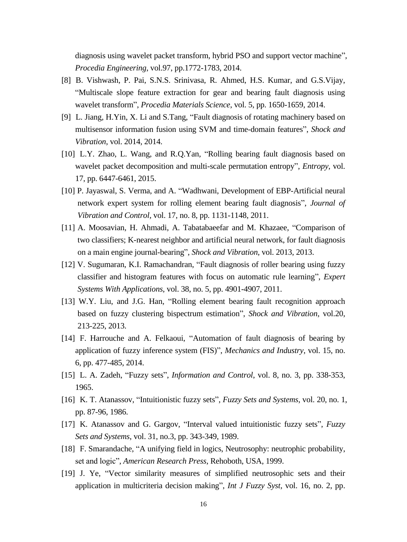diagnosis using wavelet packet transform, hybrid PSO and support vector machine", *Procedia Engineering*, vol.97, pp.1772-1783, 2014.

- [8] B. Vishwash, P. Pai, S.N.S. Srinivasa, R. Ahmed, H.S. Kumar, and G.S.Vijay, "Multiscale slope feature extraction for gear and bearing fault diagnosis using wavelet transform", *Procedia Materials Science*, vol. 5, pp. 1650-1659, 2014.
- [9] L. Jiang, H.Yin, X. Li and S.Tang, "Fault diagnosis of rotating machinery based on multisensor information fusion using SVM and time-domain features", *Shock and Vibration*, vol. 2014, 2014.
- [10] L.Y. Zhao, L. Wang, and R.Q.Yan, "Rolling bearing fault diagnosis based on wavelet packet decomposition and multi-scale permutation entropy", *Entropy*, vol. 17, pp. 6447-6461, 2015.
- [10] P. Jayaswal, S. Verma, and A. "Wadhwani, Development of EBP-Artificial neural network expert system for rolling element bearing fault diagnosis", *Journal of Vibration and Control*, vol. 17, no. 8, pp. 1131-1148, 2011.
- [11] A. Moosavian, H. Ahmadi, A. Tabatabaeefar and M. Khazaee, "Comparison of two classifiers; K-nearest neighbor and artificial neural network, for fault diagnosis on a main engine journal-bearing", *Shock and Vibration*, vol. 2013, 2013.
- [12] V. Sugumaran, K.I. Ramachandran, "Fault diagnosis of roller bearing using fuzzy classifier and histogram features with focus on automatic rule learning", *Expert Systems With Applications*, vol. 38, no. 5, pp. 4901-4907, 2011.
- [13] W.Y. Liu, and J.G. Han, "Rolling element bearing fault recognition approach based on fuzzy clustering bispectrum estimation", *Shock and Vibration*, vol.20, 213-225, 2013.
- [14] F. Harrouche and A. Felkaoui, "Automation of fault diagnosis of bearing by application of fuzzy inference system (FIS)", *Mechanics and Industry*, vol. 15, no. 6, pp. 477-485, 2014.
- [15] L. A. Zadeh, "Fuzzy sets", *Information and Control*, vol. 8, no. 3, pp. 338-353, 1965.
- [16] K. T. Atanassov, "Intuitionistic fuzzy sets", *Fuzzy Sets and Systems*, vol. 20, no. 1, pp. 87-96, 1986.
- [17] K. Atanassov and G. Gargov, "Interval valued intuitionistic fuzzy sets", *Fuzzy Sets and Systems*, vol. 31, no.3, pp. 343-349, 1989.
- [18] F. Smarandache, "A unifying field in logics, Neutrosophy: neutrophic probability, set and logic", *American Research Press*, Rehoboth, USA, 1999.
- [19] J. Ye, "Vector similarity measures of simplified neutrosophic sets and their application in multicriteria decision making", *Int J Fuzzy Syst*, vol. 16, no. 2, pp.